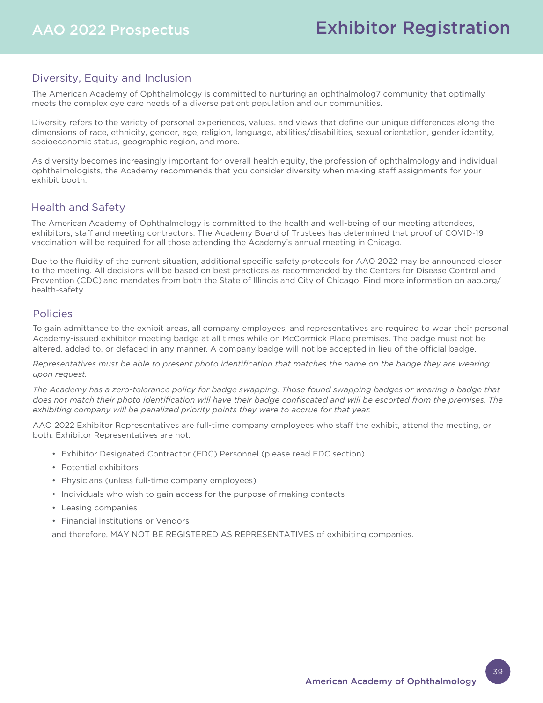# Diversity, Equity and Inclusion

The American Academy of Ophthalmology is committed to nurturing an ophthalmolog7 community that optimally meets the complex eye care needs of a diverse patient population and our communities.

Diversity refers to the variety of personal experiences, values, and views that define our unique differences along the dimensions of race, ethnicity, gender, age, religion, language, abilities/disabilities, sexual orientation, gender identity, socioeconomic status, geographic region, and more.

As diversity becomes increasingly important for overall health equity, the profession of ophthalmology and individual ophthalmologists, the Academy recommends that you consider diversity when making staff assignments for your exhibit booth.

# Health and Safety

The American Academy of Ophthalmology is committed to the health and well-being of our meeting attendees, exhibitors, staff and meeting contractors. The Academy Board of Trustees has determined that proof of COVID-19 vaccination will be required for all those attending the Academy's annual meeting in Chicago.

Due to the fluidity of the current situation, additional specific safety protocols for AAO 2022 may be announced closer to the meeting. All decisions will be based on best practices as recommended by the Centers for Disease Control and Prevention (CDC) and mandates from both the State of Illinois and City of Chicago. Find more information on aao.org/ health-safety.

# Policies

To gain admittance to the exhibit areas, all company employees, and representatives are required to wear their personal Academy-issued exhibitor meeting badge at all times while on McCormick Place premises. The badge must not be altered, added to, or defaced in any manner. A company badge will not be accepted in lieu of the official badge.

*Representatives must be able to present photo identification that matches the name on the badge they are wearing upon request.*

The Academy has a zero-tolerance policy for badge swapping. Those found swapping badges or wearing a badge that *does not match their photo identification will have their badge confiscated and will be escorted from the premises. The exhibiting company will be penalized priority points they were to accrue for that year.*

AAO 2022 Exhibitor Representatives are full-time company employees who staff the exhibit, attend the meeting, or both. Exhibitor Representatives are not:

- Exhibitor Designated Contractor (EDC) Personnel (please read EDC section)
- Potential exhibitors
- Physicians (unless full-time company employees)
- Individuals who wish to gain access for the purpose of making contacts
- Leasing companies
- Financial institutions or Vendors

and therefore, MAY NOT BE REGISTERED AS REPRESENTATIVES of exhibiting companies.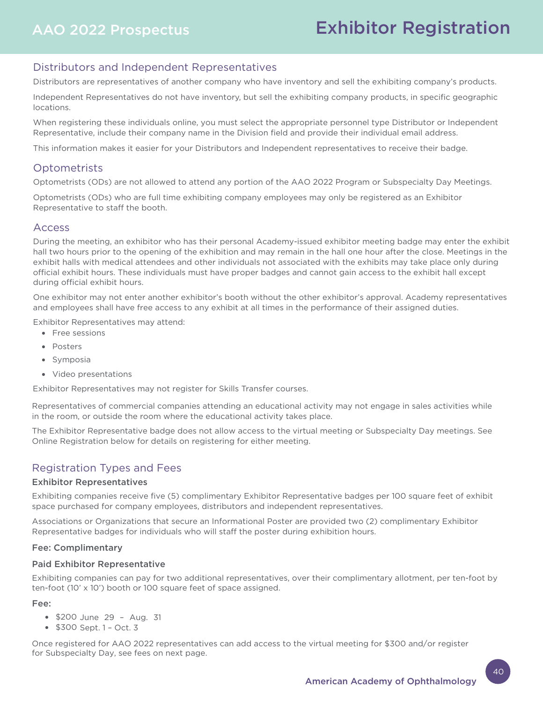# Exhibitor Registration

# Distributors and Independent Representatives

Distributors are representatives of another company who have inventory and sell the exhibiting company's products.

Independent Representatives do not have inventory, but sell the exhibiting company products, in specific geographic locations.

When registering these individuals online, you must select the appropriate personnel type Distributor or Independent Representative, include their company name in the Division field and provide their individual email address.

This information makes it easier for your Distributors and Independent representatives to receive their badge.

# **Optometrists**

Optometrists (ODs) are not allowed to attend any portion of the AAO 2022 Program or Subspecialty Day Meetings.

Optometrists (ODs) who are full time exhibiting company employees may only be registered as an Exhibitor Representative to staff the booth.

### Access

During the meeting, an exhibitor who has their personal Academy-issued exhibitor meeting badge may enter the exhibit hall two hours prior to the opening of the exhibition and may remain in the hall one hour after the close. Meetings in the exhibit halls with medical attendees and other individuals not associated with the exhibits may take place only during official exhibit hours. These individuals must have proper badges and cannot gain access to the exhibit hall except during official exhibit hours.

One exhibitor may not enter another exhibitor's booth without the other exhibitor's approval. Academy representatives and employees shall have free access to any exhibit at all times in the performance of their assigned duties.

Exhibitor Representatives may attend:

- Free sessions
- Posters
- Symposia
- Video presentations

Exhibitor Representatives may not register for Skills Transfer courses.

Representatives of commercial companies attending an educational activity may not engage in sales activities while in the room, or outside the room where the educational activity takes place.

The Exhibitor Representative badge does not allow access to the virtual meeting or Subspecialty Day meetings. See Online Registration below for details on registering for either meeting.

# Registration Types and Fees

#### Exhibitor Representatives

Exhibiting companies receive five (5) complimentary Exhibitor Representative badges per 100 square feet of exhibit space purchased for company employees, distributors and independent representatives.

Associations or Organizations that secure an Informational Poster are provided two (2) complimentary Exhibitor Representative badges for individuals who will staff the poster during exhibition hours.

#### Fee: Complimentary

#### Paid Exhibitor Representative

Exhibiting companies can pay for two additional representatives, over their complimentary allotment, per ten-foot by ten-foot (10' x 10') booth or 100 square feet of space assigned.

Fee:

- \$200 June 29 Aug. 31
- \$300 Sept. 1 Oct. 3

Once registered for AAO 2022 representatives can add access to the virtual meeting for \$300 and/or register for Subspecialty Day, see fees on next page.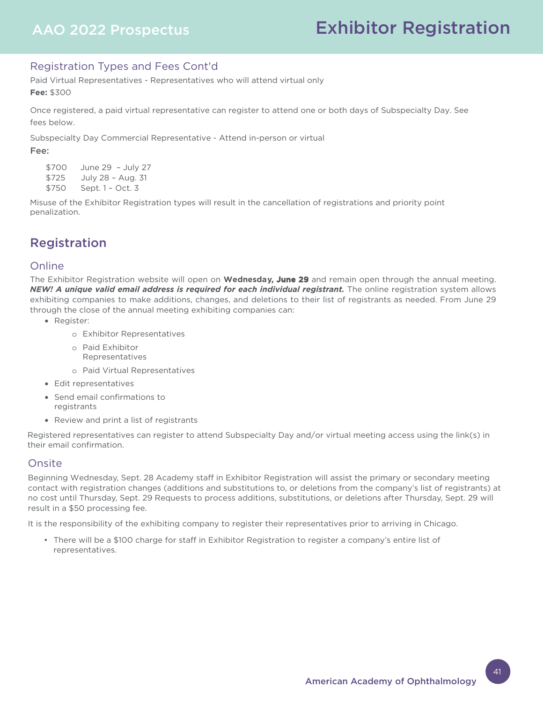# Registration Types and Fees Cont'd

Paid Virtual Representatives - Representatives who will attend virtual only **Fee:** \$300

Once registered, a paid virtual representative can register to attend one or both days of Subspecialty Day. See fees below.

Subspecialty Day Commercial Representative - Attend in-person or virtual

#### Fee:

\$700 June 29 – July 27 \$725 July 28 – Aug. 31 \$750 Sept. 1 – Oct. 3

Misuse of the Exhibitor Registration types will result in the cancellation of registrations and priority point penalization.

# Registration

# **Online**

The Exhibitor Registration website will open on **Wednesday, June 29** and remain open through the annual meeting. *NEW! A unique valid email address is required for each individual registrant.* The online registration system allows exhibiting companies to make additions, changes, and deletions to their list of registrants as needed. From June 29 through the close of the annual meeting exhibiting companies can:

- Register:
	- o Exhibitor Representatives
	- o Paid Exhibitor Representatives
	- o Paid Virtual Representatives
- Edit representatives
- Send email confirmations to registrants
- Review and print a list of registrants

Registered representatives can register to attend Subspecialty Day and/or virtual meeting access using the link(s) in their email confirmation.

# **Onsite**

Beginning Wednesday, Sept. 28 Academy staff in Exhibitor Registration will assist the primary or secondary meeting contact with registration changes (additions and substitutions to, or deletions from the company's list of registrants) at no cost until Thursday, Sept. 29 Requests to process additions, substitutions, or deletions after Thursday, Sept. 29 will result in a \$50 processing fee.

It is the responsibility of the exhibiting company to register their representatives prior to arriving in Chicago.

• There will be a \$100 charge for staff in Exhibitor Registration to register a company's entire list of representatives.